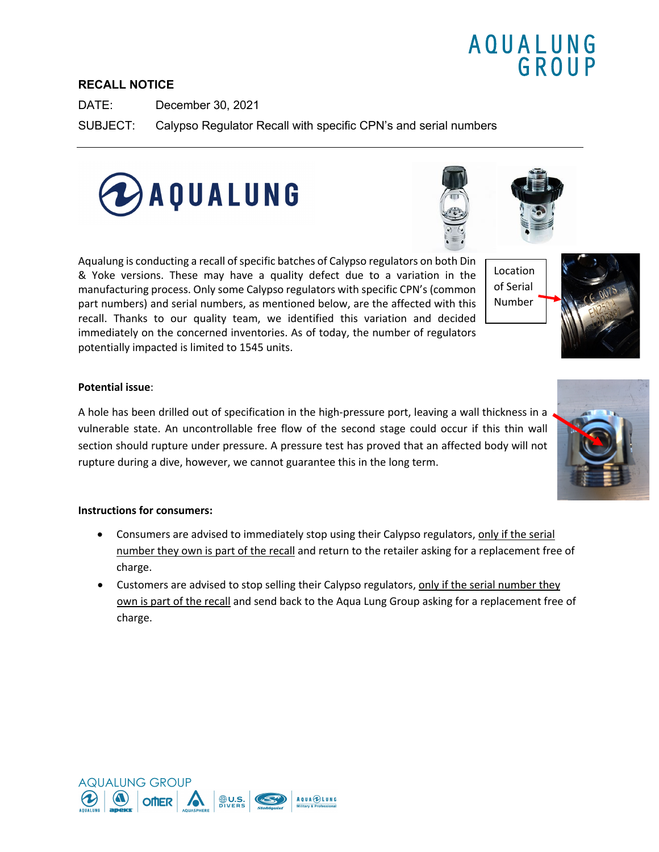## **RECALL NOTICE**

DATE: December 30, 2021

SUBJECT: Calypso Regulator Recall with specific CPN's and serial numbers



Aqualung is conducting a recall of specific batches of Calypso regulators on both Din & Yoke versions. These may have a quality defect due to a variation in the manufacturing process. Only some Calypso regulators with specific CPN's (common part numbers) and serial numbers, as mentioned below, are the affected with this recall. Thanks to our quality team, we identified this variation and decided immediately on the concerned inventories. As of today, the number of regulators potentially impacted is limited to 1545 units.

## **Potential issue**:

A hole has been drilled out of specification in the high-pressure port, leaving a wall thickness in a vulnerable state. An uncontrollable free flow of the second stage could occur if this thin wall section should rupture under pressure. A pressure test has proved that an affected body will not rupture during a dive, however, we cannot guarantee this in the long term.

## **Instructions for consumers:**

- Consumers are advised to immediately stop using their Calypso regulators, only if the serial number they own is part of the recall and return to the retailer asking for a replacement free of charge.
- Customers are advised to stop selling their Calypso regulators, only if the serial number they own is part of the recall and send back to the Aqua Lung Group asking for a replacement free of charge.







Location of Serial Number